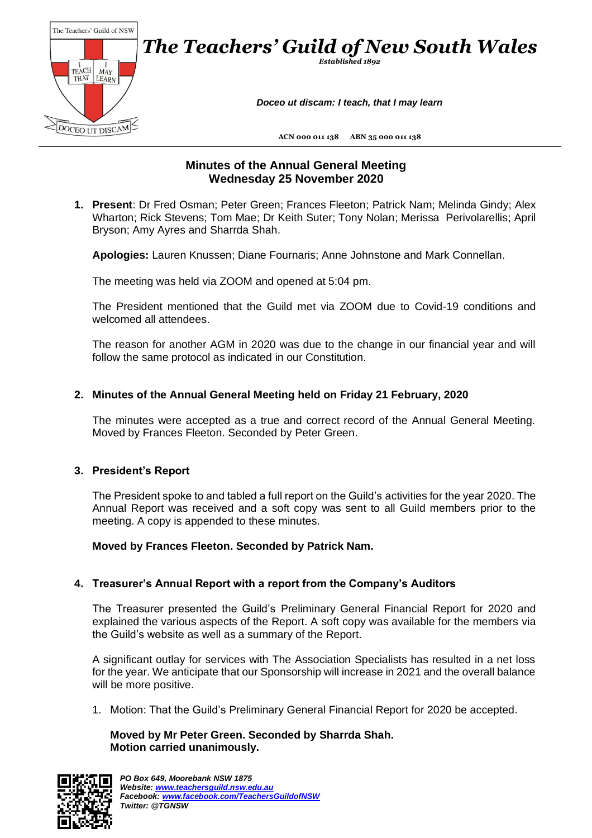

# **Minutes of the Annual General Meeting Wednesday 25 November 2020**

**1. Present**: Dr Fred Osman; Peter Green; Frances Fleeton; Patrick Nam; Melinda Gindy; Alex Wharton; Rick Stevens; Tom Mae; Dr Keith Suter; Tony Nolan; Merissa Perivolarellis; April Bryson; Amy Ayres and Sharrda Shah.

**Apologies:** Lauren Knussen; Diane Fournaris; Anne Johnstone and Mark Connellan.

The meeting was held via ZOOM and opened at 5:04 pm.

The President mentioned that the Guild met via ZOOM due to Covid-19 conditions and welcomed all attendees.

The reason for another AGM in 2020 was due to the change in our financial year and will follow the same protocol as indicated in our Constitution.

### **2. Minutes of the Annual General Meeting held on Friday 21 February, 2020**

The minutes were accepted as a true and correct record of the Annual General Meeting. Moved by Frances Fleeton. Seconded by Peter Green.

### **3. President's Report**

The President spoke to and tabled a full report on the Guild's activities for the year 2020. The Annual Report was received and a soft copy was sent to all Guild members prior to the meeting. A copy is appended to these minutes.

### **Moved by Frances Fleeton. Seconded by Patrick Nam.**

### **4. Treasurer's Annual Report with a report from the Company's Auditors**

The Treasurer presented the Guild's Preliminary General Financial Report for 2020 and explained the various aspects of the Report. A soft copy was available for the members via the Guild's website as well as a summary of the Report.

A significant outlay for services with The Association Specialists has resulted in a net loss for the year. We anticipate that our Sponsorship will increase in 2021 and the overall balance will be more positive.

1. Motion: That the Guild's Preliminary General Financial Report for 2020 be accepted.

### **Moved by Mr Peter Green. Seconded by Sharrda Shah. Motion carried unanimously.**

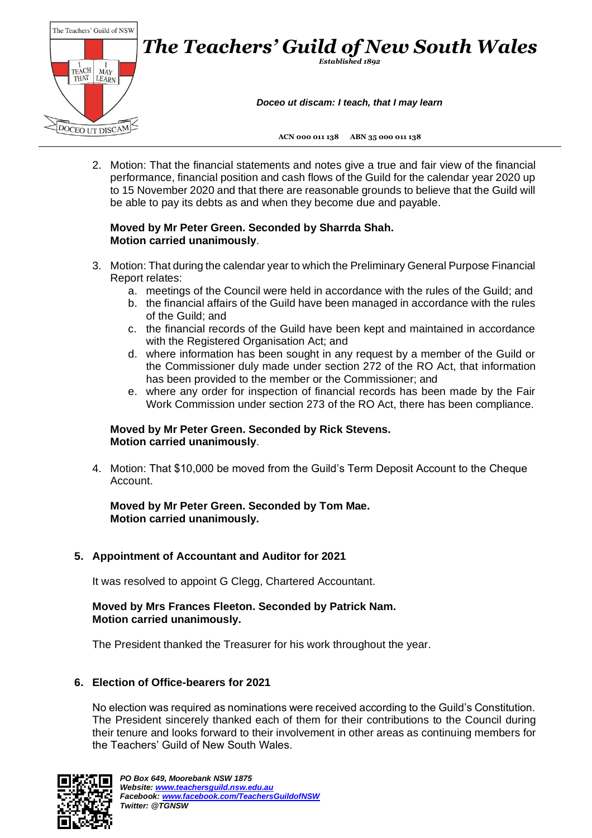

2. Motion: That the financial statements and notes give a true and fair view of the financial performance, financial position and cash flows of the Guild for the calendar year 2020 up to 15 November 2020 and that there are reasonable grounds to believe that the Guild will be able to pay its debts as and when they become due and payable.

### **Moved by Mr Peter Green. Seconded by Sharrda Shah. Motion carried unanimously**.

- 3. Motion: That during the calendar year to which the Preliminary General Purpose Financial Report relates:
	- a. meetings of the Council were held in accordance with the rules of the Guild; and
	- b. the financial affairs of the Guild have been managed in accordance with the rules of the Guild; and
	- c. the financial records of the Guild have been kept and maintained in accordance with the Registered Organisation Act; and
	- d. where information has been sought in any request by a member of the Guild or the Commissioner duly made under section 272 of the RO Act, that information has been provided to the member or the Commissioner; and
	- e. where any order for inspection of financial records has been made by the Fair Work Commission under section 273 of the RO Act, there has been compliance.

## **Moved by Mr Peter Green. Seconded by Rick Stevens. Motion carried unanimously**.

4. Motion: That \$10,000 be moved from the Guild's Term Deposit Account to the Cheque Account.

### **Moved by Mr Peter Green. Seconded by Tom Mae. Motion carried unanimously.**

## **5. Appointment of Accountant and Auditor for 2021**

It was resolved to appoint G Clegg, Chartered Accountant.

### **Moved by Mrs Frances Fleeton. Seconded by Patrick Nam. Motion carried unanimously.**

The President thanked the Treasurer for his work throughout the year.

## **6. Election of Office-bearers for 2021**

No election was required as nominations were received according to the Guild's Constitution. The President sincerely thanked each of them for their contributions to the Council during their tenure and looks forward to their involvement in other areas as continuing members for the Teachers' Guild of New South Wales.

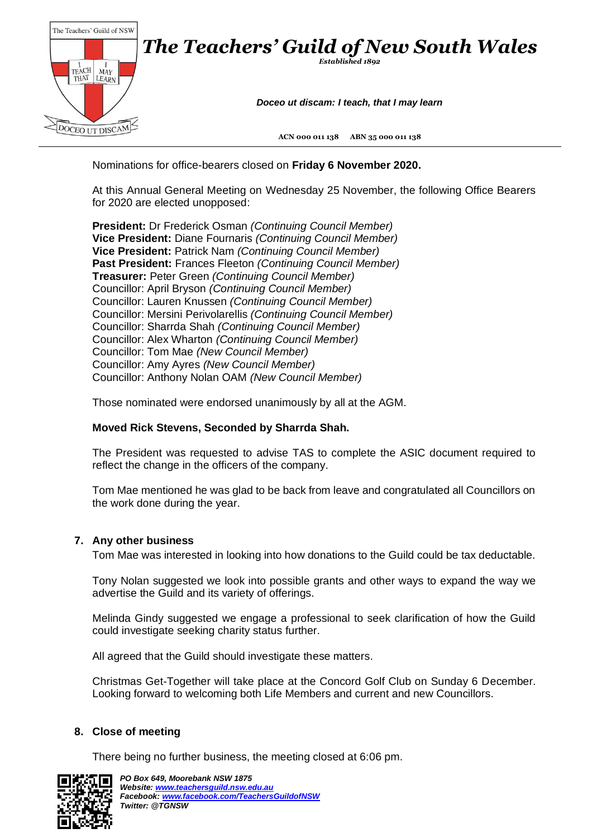

Nominations for office-bearers closed on **Friday 6 November 2020.**

At this Annual General Meeting on Wednesday 25 November, the following Office Bearers for 2020 are elected unopposed:

**President:** Dr Frederick Osman *(Continuing Council Member)* **Vice President:** Diane Fournaris *(Continuing Council Member)* **Vice President:** Patrick Nam *(Continuing Council Member)* **Past President:** Frances Fleeton *(Continuing Council Member)* **Treasurer:** Peter Green *(Continuing Council Member)* Councillor: April Bryson *(Continuing Council Member)* Councillor: Lauren Knussen *(Continuing Council Member)* Councillor: Mersini Perivolarellis *(Continuing Council Member)* Councillor: Sharrda Shah *(Continuing Council Member)* Councillor: Alex Wharton *(Continuing Council Member)* Councillor: Tom Mae *(New Council Member)* Councillor: Amy Ayres *(New Council Member)* Councillor: Anthony Nolan OAM *(New Council Member)*

Those nominated were endorsed unanimously by all at the AGM.

### **Moved Rick Stevens, Seconded by Sharrda Shah.**

The President was requested to advise TAS to complete the ASIC document required to reflect the change in the officers of the company.

Tom Mae mentioned he was glad to be back from leave and congratulated all Councillors on the work done during the year.

### **7. Any other business**

Tom Mae was interested in looking into how donations to the Guild could be tax deductable.

Tony Nolan suggested we look into possible grants and other ways to expand the way we advertise the Guild and its variety of offerings.

Melinda Gindy suggested we engage a professional to seek clarification of how the Guild could investigate seeking charity status further.

All agreed that the Guild should investigate these matters.

Christmas Get-Together will take place at the Concord Golf Club on Sunday 6 December. Looking forward to welcoming both Life Members and current and new Councillors.

### **8. Close of meeting**

There being no further business, the meeting closed at 6:06 pm.